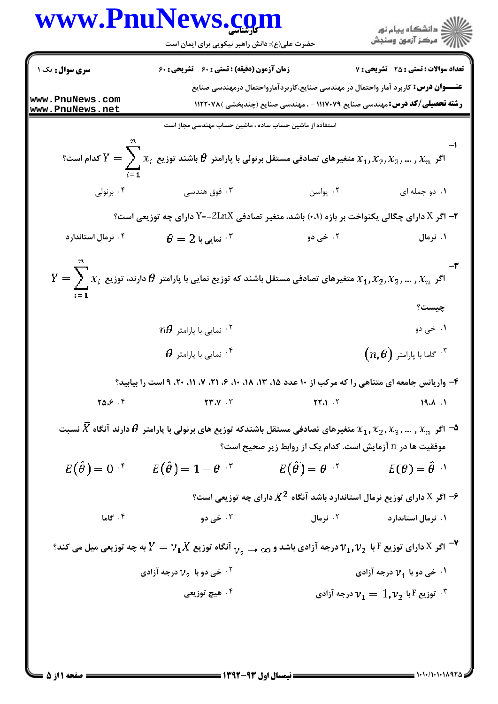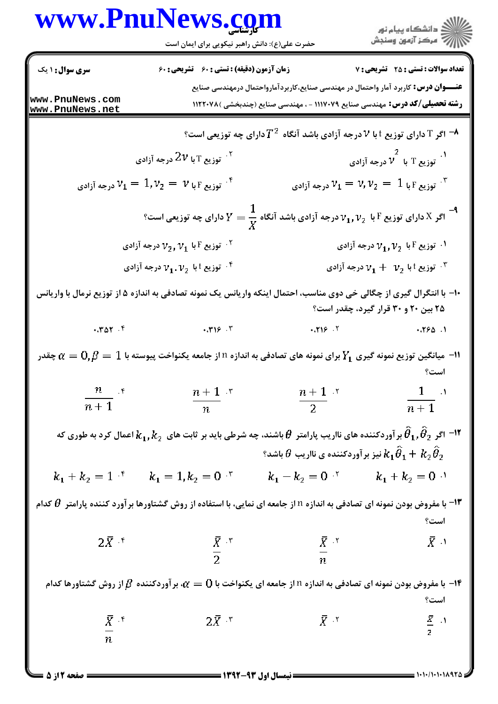## كارشناسي **[www.PnuNews.com](http://www.PnuNews.com)**



حضرت علي(ع): دانش راهبر نيكويي براي ايمان است

| <b>سری سوال : ۱ یک</b>       | <b>زمان آزمون (دقیقه) : تستی : 60 ٪ تشریحی : 60</b>                                                                                                      |                                                                                                                                 | <b>تعداد سوالات : تستی : 25 - تشریحی : 7</b>                                              |
|------------------------------|----------------------------------------------------------------------------------------------------------------------------------------------------------|---------------------------------------------------------------------------------------------------------------------------------|-------------------------------------------------------------------------------------------|
| www.PnuNews.com              |                                                                                                                                                          | <b>عنـــوان درس:</b> کاربرد آمار واحتمال در مهندسی صنایع،کاربردآمارواحتمال درمهندسی صنایع                                       |                                                                                           |
| www.PnuNews.net              |                                                                                                                                                          | <b>رشته تحصیلی/کد درس:</b> مهندسی صنایع ۱۱۱۷۰۷۹ - ، مهندسی صنایع (چندبخشی )۱۱۲۲۰۷۸                                              |                                                                                           |
|                              |                                                                                                                                                          | اگر $\rm T$ دارای توزیع $t$ با $V$ درجه آزادی باشد آنگاه $T^{\,2}$ دارای چه توزیعی است $^{\rm a}$                               |                                                                                           |
|                              | نوزیع $_{1}$ با $2\nu$ درجه آزادی $^{17}$                                                                                                                |                                                                                                                                 | ۱.<br>توزیع T با $\stackrel{2}{\nu}$ درجه آزادی $^1$                                      |
|                              | توزیع ۲ با $\mathfrak{v}_1 = 1, \mathfrak{v}_2 = 1$ درجه آزادی $^{\mathfrak{f}}$                                                                         |                                                                                                                                 | توزیع ۲ با $\mathcal{V}_1=\mathcal{V},\mathcal{V}_2=\mathcal{V}$ درجه آزادی $\mathcal{V}$ |
|                              |                                                                                                                                                          | اگر X دارای توزیع F با $\nu_1, \nu_2$ درجه آزادی باشد آنگاه $\frac{1}{X} = \frac{1}{Y}$ دارای چه توزیعی است؟ $V = \nu_1, \nu_2$ |                                                                                           |
|                              | نوزیع F با $\mathit{v}_1$ درجه آزادی $^{\dagger}$                                                                                                        |                                                                                                                                 | ۰۱ توزیع F با $v_1,v_2$ درجه آزادی $\cdot$                                                |
|                              | توزیع $\overline{\nu}_1.\overline{\nu}_2$ درجه آزادی $^*$                                                                                                |                                                                                                                                 | توزیع $\mathrm{v}_1 + \mathrm{v}_2$ درجه آزادی $\mathrm{v}_1 + \mathrm{v}_3$              |
|                              | +۱- با انتگرال گیری از چگالی خی دوی مناسب، احتمال اینکه واریانس یک نمونه تصادفی به اندازه ۵ از توزیع نرمال با واریانس                                    |                                                                                                                                 | ۲۵ بین ۲۰ و ۳۰ قرار گیرد، چقدر است؟                                                       |
| $\cdot$ . ۳۵۲. ۴             | .719.7                                                                                                                                                   | .719.7                                                                                                                          | .790.1                                                                                    |
|                              | ا— میانگین توزیع نمونه گیری $Y_{\bf 1}$ برای نمونه های تصادفی به اندازه n از جامعه یکنواخت پیوسته با $1$ $\beta=0,$ چقدر $\sim$                          |                                                                                                                                 | است؟                                                                                      |
| $\frac{n}{n+1}$ , r          | $\frac{n+1}{n}$ \cdot^{\tau}                                                                                                                             | $\frac{n+1}{2}$ '                                                                                                               | $\frac{1}{\sqrt{1-\frac{1}{2}}}$ .<br>$\overline{n+1}$                                    |
|                              | اعمال کرد به طوری که $\theta_1,\theta_2$ بر آوردکننده های نااریب پارامتر $\theta$ باشند، چه شرطی باید بر ثابت های $k_1,k_2$ اعمال کرد به طوری که $^{-1}$ | $\theta$ نیز بر آوردکننده ی نااریب $k_1\widetilde\theta_1+k_2\widetilde\theta_2$                                                |                                                                                           |
| $k_1 + k_2 = 1$ <sup>*</sup> | $k_1 = 1, k_2 = 0$                                                                                                                                       | $k_1 - k_2 = 0$ $\cdot$ $k_1 + k_2 = 0$ $\cdot$                                                                                 |                                                                                           |
|                              | ا— با مفروض بودن نمونه ای تصادفی به اندازه n از جامعه ای نمایی، با استفاده از روش گشتاورها برآورد کننده پارامتر $\theta$ کدام $-$ ۱۳                     |                                                                                                                                 | است؟                                                                                      |
| $2\bar{X}$ $\zeta$           | $\frac{\bar{X}}{2}$ *                                                                                                                                    |                                                                                                                                 | $\bar{X}$ )                                                                               |
|                              |                                                                                                                                                          | $\frac{\bar{X}}{n}$ is the set of $\frac{\bar{X}}{n}$                                                                           |                                                                                           |
|                              | ا- با مفروض بودن نمونه ای تصادفی به اندازه n از جامعه ای یکنواخت با $0$ = $\alpha$ ، بر آوردکننده $\beta$ از روش گشتاورها کدام $\cdot$                   |                                                                                                                                 | است؟                                                                                      |
| $\bar{X}$ . $\epsilon$       | $2\bar{X}$ *                                                                                                                                             | $\bar{X}$ $\bar{Y}$                                                                                                             |                                                                                           |
| $\overline{n}$               |                                                                                                                                                          |                                                                                                                                 | $rac{\overline{X}}{2}$ . <sup>1</sup>                                                     |
|                              |                                                                                                                                                          |                                                                                                                                 |                                                                                           |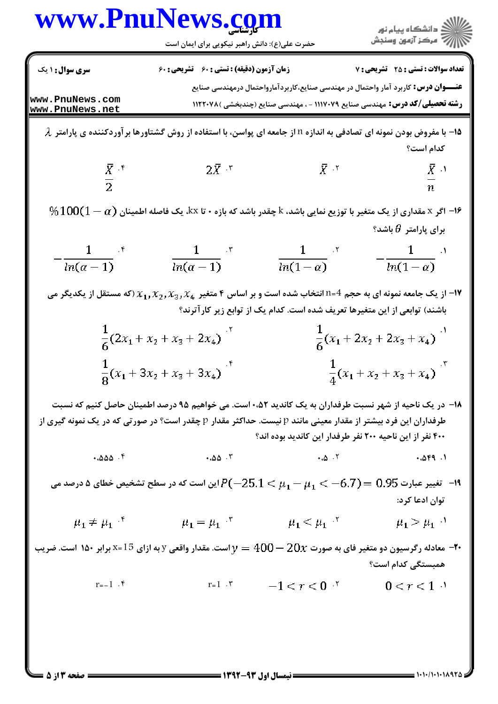| <b>سری سوال : ۱ یک</b><br>زمان آزمون (دقیقه) : تستی : 60 تشریحی : 60<br><b>عنـــوان درس:</b> کاربرد آمار واحتمال در مهندسی صنایع،کاربردآمارواحتمال درمهندسی صنایع<br>www.PnuNews.com<br><b>رشته تحصیلی/کد درس:</b> مهندسی صنایع ۱۱۱۷۰۷۹ - ، مهندسی صنایع (چندبخشی )۱۱۲۲۰۷۸<br>www.PnuNews.net<br>۸- با مفروض بودن نمونه ای تصادفی به اندازه n از جامعه ای پواسن، با استفاده از روش گشتاورها بر آوردکننده ی پارامتر $\,$<br>كدام است؟<br>$2\overline{X}$ . $\overline{y}$<br>$\overline{X}$ and $\overline{X}$<br>$rac{\overline{X}}{2}$ if<br>$\overline{n}$<br>$\%100(1-\alpha)$ اگر x مقداری از یک متغیر با توزیع نمایی باشد، k چقدر باشد که بازه ۰ تا kx، یک فاصله اطمینان $\alpha$ ) اگ<br>برای پارامتر $\theta$ باشد؟<br>$\frac{1}{ln(\alpha-1)}$ .<br>$\frac{1}{ln(1-\alpha)}$ x<br>$-\frac{1}{\ln(\alpha-1)}$ <sup>*</sup><br>$-\frac{1}{ln(1-\alpha)}$<br>ا- از یک جامعه نمونه ای به حجم 4=n انتخاب شده است و بر اساس ۴ متغیر $\chi_1,\chi_2,\chi_3,\chi_4$ (که مستقل از یکدیگر می $\mathsf{M}$<br>باشند) توابعی از این متغیرها تعریف شده است. کدام یک از توابع زیر کارآترند؟<br>$\frac{1}{6}(2x_1 + x_2 + x_3 + 2x_4)$<br>$\frac{1}{6}(x_1+2x_2+2x_3+x_4)$<br>$\frac{1}{8}(x_1+3x_2+x_3+3x_4)^{4}$<br>$\frac{1}{4}(x_1 + x_2 + x_3 + x_4)^{x_5}$<br>۱۸– در یک ناحیه از شهر نسبت طرفداران به یک کاندید ۵۲،۰۵۲ست. می خواهیم ۹۵ درصد اطمینان حاصل کنیم که نسبت<br>طرفداران این فرد بیشتر از مقدار معینی مانند p نیست. حداکثر مقدار p چقدر است؟ در صورتی که در یک نمونه گیری از<br>۴۰۰ نفر از این ناحیه ۲۰۰ نفر طرفدار این کاندید بوده اند؟<br>.000.9<br>این است که در سطح تشخیص خطای ۵ درصد می $P(-25.1 < p$ (بین است که در سطح تشخیص خطای ۵ درصد می $\cdot$<br>توان ادعا کرد:<br>$\mu_1 = \mu_1$ $\bar{y}$<br>$\mu_1 \neq \mu_1$ <sup>r</sup><br>$\mu_1 < \mu_1$<br>معادله رگرسیون دو متغیر فای به صورت $20x$ $-20$ $y=1$ است. مقدار واقعی y به ازای 1 $\texttt{S}$ برابر ۱۵۰ است. ضریب $-$ ۲۰<br>همبستگی کدام است؟<br>$r=1$ $\zeta$ $r=1$ $\zeta$ $r<0$ $\zeta$ | www.PnuNews.com<br>حضرت علی(ع): دانش راهبر نیکویی برای ایمان است |                                              |
|-------------------------------------------------------------------------------------------------------------------------------------------------------------------------------------------------------------------------------------------------------------------------------------------------------------------------------------------------------------------------------------------------------------------------------------------------------------------------------------------------------------------------------------------------------------------------------------------------------------------------------------------------------------------------------------------------------------------------------------------------------------------------------------------------------------------------------------------------------------------------------------------------------------------------------------------------------------------------------------------------------------------------------------------------------------------------------------------------------------------------------------------------------------------------------------------------------------------------------------------------------------------------------------------------------------------------------------------------------------------------------------------------------------------------------------------------------------------------------------------------------------------------------------------------------------------------------------------------------------------------------------------------------------------------------------------------------------------------------------------------------------------------------------------------------------------------------------------------------------------------------------------------------------------------------------------------------------------------|------------------------------------------------------------------|----------------------------------------------|
|                                                                                                                                                                                                                                                                                                                                                                                                                                                                                                                                                                                                                                                                                                                                                                                                                                                                                                                                                                                                                                                                                                                                                                                                                                                                                                                                                                                                                                                                                                                                                                                                                                                                                                                                                                                                                                                                                                                                                                         |                                                                  | <b>تعداد سوالات : تستی : 25 - تشریحی : 7</b> |
|                                                                                                                                                                                                                                                                                                                                                                                                                                                                                                                                                                                                                                                                                                                                                                                                                                                                                                                                                                                                                                                                                                                                                                                                                                                                                                                                                                                                                                                                                                                                                                                                                                                                                                                                                                                                                                                                                                                                                                         |                                                                  |                                              |
|                                                                                                                                                                                                                                                                                                                                                                                                                                                                                                                                                                                                                                                                                                                                                                                                                                                                                                                                                                                                                                                                                                                                                                                                                                                                                                                                                                                                                                                                                                                                                                                                                                                                                                                                                                                                                                                                                                                                                                         |                                                                  |                                              |
|                                                                                                                                                                                                                                                                                                                                                                                                                                                                                                                                                                                                                                                                                                                                                                                                                                                                                                                                                                                                                                                                                                                                                                                                                                                                                                                                                                                                                                                                                                                                                                                                                                                                                                                                                                                                                                                                                                                                                                         |                                                                  | $\overline{X}$ .                             |
|                                                                                                                                                                                                                                                                                                                                                                                                                                                                                                                                                                                                                                                                                                                                                                                                                                                                                                                                                                                                                                                                                                                                                                                                                                                                                                                                                                                                                                                                                                                                                                                                                                                                                                                                                                                                                                                                                                                                                                         |                                                                  |                                              |
|                                                                                                                                                                                                                                                                                                                                                                                                                                                                                                                                                                                                                                                                                                                                                                                                                                                                                                                                                                                                                                                                                                                                                                                                                                                                                                                                                                                                                                                                                                                                                                                                                                                                                                                                                                                                                                                                                                                                                                         |                                                                  |                                              |
|                                                                                                                                                                                                                                                                                                                                                                                                                                                                                                                                                                                                                                                                                                                                                                                                                                                                                                                                                                                                                                                                                                                                                                                                                                                                                                                                                                                                                                                                                                                                                                                                                                                                                                                                                                                                                                                                                                                                                                         |                                                                  |                                              |
|                                                                                                                                                                                                                                                                                                                                                                                                                                                                                                                                                                                                                                                                                                                                                                                                                                                                                                                                                                                                                                                                                                                                                                                                                                                                                                                                                                                                                                                                                                                                                                                                                                                                                                                                                                                                                                                                                                                                                                         |                                                                  |                                              |
|                                                                                                                                                                                                                                                                                                                                                                                                                                                                                                                                                                                                                                                                                                                                                                                                                                                                                                                                                                                                                                                                                                                                                                                                                                                                                                                                                                                                                                                                                                                                                                                                                                                                                                                                                                                                                                                                                                                                                                         |                                                                  |                                              |
|                                                                                                                                                                                                                                                                                                                                                                                                                                                                                                                                                                                                                                                                                                                                                                                                                                                                                                                                                                                                                                                                                                                                                                                                                                                                                                                                                                                                                                                                                                                                                                                                                                                                                                                                                                                                                                                                                                                                                                         |                                                                  |                                              |
|                                                                                                                                                                                                                                                                                                                                                                                                                                                                                                                                                                                                                                                                                                                                                                                                                                                                                                                                                                                                                                                                                                                                                                                                                                                                                                                                                                                                                                                                                                                                                                                                                                                                                                                                                                                                                                                                                                                                                                         |                                                                  | .059.1                                       |
|                                                                                                                                                                                                                                                                                                                                                                                                                                                                                                                                                                                                                                                                                                                                                                                                                                                                                                                                                                                                                                                                                                                                                                                                                                                                                                                                                                                                                                                                                                                                                                                                                                                                                                                                                                                                                                                                                                                                                                         |                                                                  |                                              |
|                                                                                                                                                                                                                                                                                                                                                                                                                                                                                                                                                                                                                                                                                                                                                                                                                                                                                                                                                                                                                                                                                                                                                                                                                                                                                                                                                                                                                                                                                                                                                                                                                                                                                                                                                                                                                                                                                                                                                                         |                                                                  | $\mu_1 > \mu_1$ <sup>1</sup>                 |
|                                                                                                                                                                                                                                                                                                                                                                                                                                                                                                                                                                                                                                                                                                                                                                                                                                                                                                                                                                                                                                                                                                                                                                                                                                                                                                                                                                                                                                                                                                                                                                                                                                                                                                                                                                                                                                                                                                                                                                         |                                                                  |                                              |
|                                                                                                                                                                                                                                                                                                                                                                                                                                                                                                                                                                                                                                                                                                                                                                                                                                                                                                                                                                                                                                                                                                                                                                                                                                                                                                                                                                                                                                                                                                                                                                                                                                                                                                                                                                                                                                                                                                                                                                         |                                                                  | $0 < r < 1$ <sup>3</sup>                     |
|                                                                                                                                                                                                                                                                                                                                                                                                                                                                                                                                                                                                                                                                                                                                                                                                                                                                                                                                                                                                                                                                                                                                                                                                                                                                                                                                                                                                                                                                                                                                                                                                                                                                                                                                                                                                                                                                                                                                                                         |                                                                  |                                              |